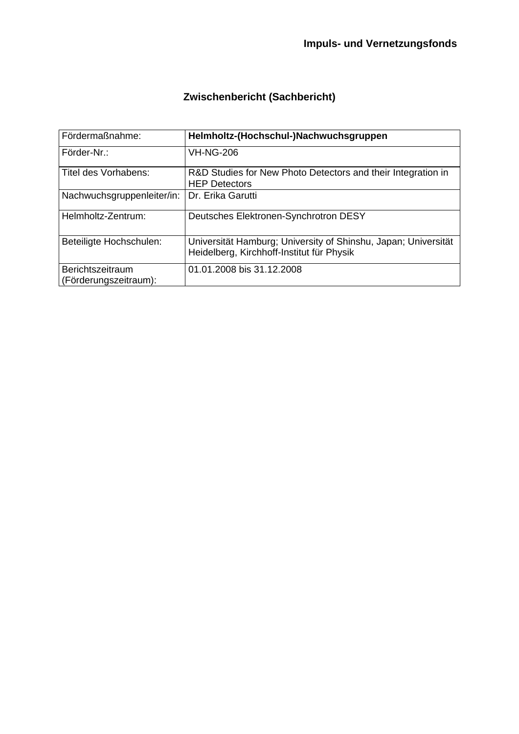# **Zwischenbericht (Sachbericht)**

| Fördermaßnahme:                           | Helmholtz-(Hochschul-)Nachwuchsgruppen                                                                      |
|-------------------------------------------|-------------------------------------------------------------------------------------------------------------|
| Förder-Nr.:                               | <b>VH-NG-206</b>                                                                                            |
| Titel des Vorhabens:                      | R&D Studies for New Photo Detectors and their Integration in<br><b>HEP Detectors</b>                        |
| Nachwuchsgruppenleiter/in:                | Dr. Erika Garutti                                                                                           |
| Helmholtz-Zentrum:                        | Deutsches Elektronen-Synchrotron DESY                                                                       |
| Beteiligte Hochschulen:                   | Universität Hamburg; University of Shinshu, Japan; Universität<br>Heidelberg, Kirchhoff-Institut für Physik |
| Berichtszeitraum<br>(Förderungszeitraum): | 01.01.2008 bis 31.12.2008                                                                                   |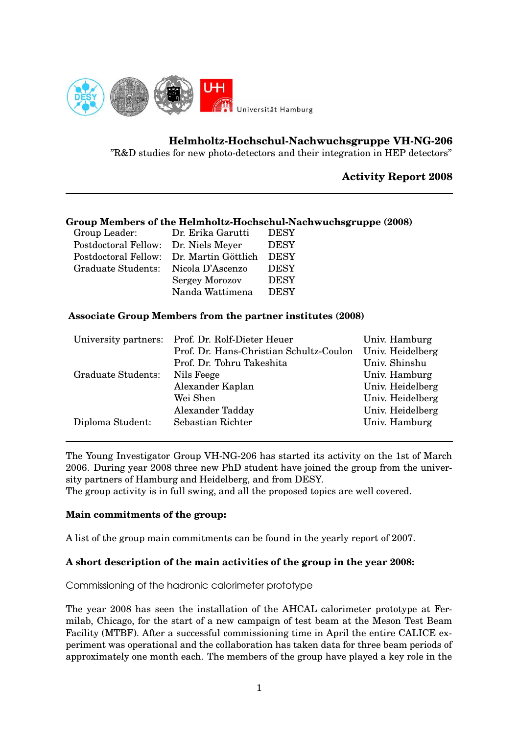

**Helmholtz-Hochschul-Nachwuchsgruppe VH-NG-206**

"R&D studies for new photo-detectors and their integration in HEP detectors"

# **Activity Report 2008**

# **Group Members of the Helmholtz-Hochschul-Nachwuchsgruppe (2008)**

| Group Leader:                            | Dr. Erika Garutti     | <b>DESY</b> |
|------------------------------------------|-----------------------|-------------|
| Postdoctoral Fellow:                     | Dr. Niels Meyer       | <b>DESY</b> |
| Postdoctoral Fellow: Dr. Martin Göttlich |                       | <b>DESY</b> |
| Graduate Students:                       | Nicola D'Ascenzo      | <b>DESY</b> |
|                                          | <b>Sergey Morozov</b> | <b>DESY</b> |
|                                          | Nanda Wattimena       | <b>DESY</b> |

# **Associate Group Members from the partner institutes (2008)**

| University partners: | Prof. Dr. Rolf-Dieter Heuer             | Univ. Hamburg    |
|----------------------|-----------------------------------------|------------------|
|                      | Prof. Dr. Hans-Christian Schultz-Coulon | Univ. Heidelberg |
|                      | Prof. Dr. Tohru Takeshita               | Univ. Shinshu    |
| Graduate Students:   | Nils Feege                              | Univ. Hamburg    |
|                      | Alexander Kaplan                        | Univ. Heidelberg |
|                      | Wei Shen                                | Univ. Heidelberg |
|                      | Alexander Tadday                        | Univ. Heidelberg |
| Diploma Student:     | Sebastian Richter                       | Univ. Hamburg    |
|                      |                                         |                  |

The Young Investigator Group VH-NG-206 has started its activity on the 1st of March 2006. During year 2008 three new PhD student have joined the group from the university partners of Hamburg and Heidelberg, and from DESY.

The group activity is in full swing, and all the proposed topics are well covered.

#### **Main commitments of the group:**

A list of the group main commitments can be found in the yearly report of 2007.

# **A short description of the main activities of the group in the year 2008:**

Commissioning of the hadronic calorimeter prototype

The year 2008 has seen the installation of the AHCAL calorimeter prototype at Fermilab, Chicago, for the start of a new campaign of test beam at the Meson Test Beam Facility (MTBF). After a successful commissioning time in April the entire CALICE experiment was operational and the collaboration has taken data for three beam periods of approximately one month each. The members of the group have played a key role in the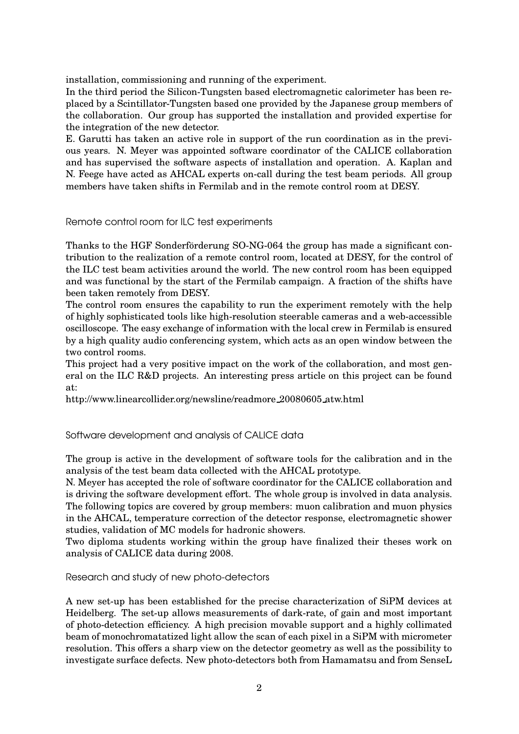installation, commissioning and running of the experiment.

In the third period the Silicon-Tungsten based electromagnetic calorimeter has been replaced by a Scintillator-Tungsten based one provided by the Japanese group members of the collaboration. Our group has supported the installation and provided expertise for the integration of the new detector.

E. Garutti has taken an active role in support of the run coordination as in the previous years. N. Meyer was appointed software coordinator of the CALICE collaboration and has supervised the software aspects of installation and operation. A. Kaplan and N. Feege have acted as AHCAL experts on-call during the test beam periods. All group members have taken shifts in Fermilab and in the remote control room at DESY.

Remote control room for ILC test experiments

Thanks to the HGF Sonderförderung SO-NG-064 the group has made a significant contribution to the realization of a remote control room, located at DESY, for the control of the ILC test beam activities around the world. The new control room has been equipped and was functional by the start of the Fermilab campaign. A fraction of the shifts have been taken remotely from DESY.

The control room ensures the capability to run the experiment remotely with the help of highly sophisticated tools like high-resolution steerable cameras and a web-accessible oscilloscope. The easy exchange of information with the local crew in Fermilab is ensured by a high quality audio conferencing system, which acts as an open window between the two control rooms.

This project had a very positive impact on the work of the collaboration, and most general on the ILC R&D projects. An interesting press article on this project can be found at:

http://www.linearcollider.org/newsline/readmore 20080605 atw.html

Software development and analysis of CALICE data

The group is active in the development of software tools for the calibration and in the analysis of the test beam data collected with the AHCAL prototype.

N. Meyer has accepted the role of software coordinator for the CALICE collaboration and is driving the software development effort. The whole group is involved in data analysis. The following topics are covered by group members: muon calibration and muon physics in the AHCAL, temperature correction of the detector response, electromagnetic shower studies, validation of MC models for hadronic showers.

Two diploma students working within the group have finalized their theses work on analysis of CALICE data during 2008.

Research and study of new photo-detectors

A new set-up has been established for the precise characterization of SiPM devices at Heidelberg. The set-up allows measurements of dark-rate, of gain and most important of photo-detection efficiency. A high precision movable support and a highly collimated beam of monochromatatized light allow the scan of each pixel in a SiPM with micrometer resolution. This offers a sharp view on the detector geometry as well as the possibility to investigate surface defects. New photo-detectors both from Hamamatsu and from SenseL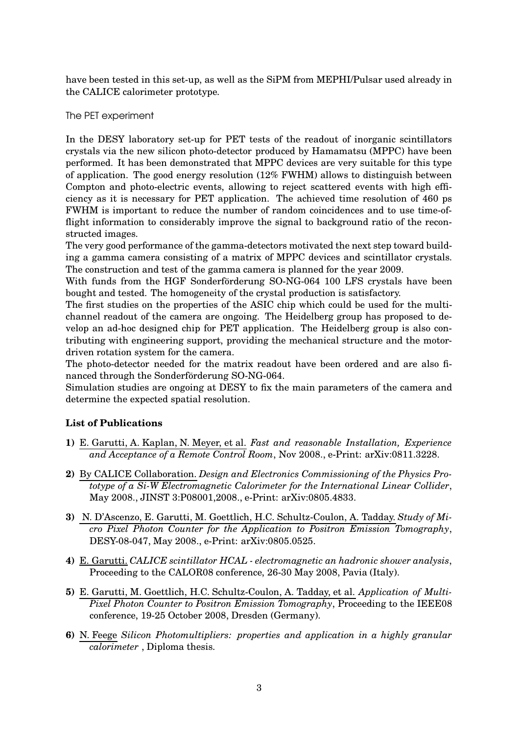have been tested in this set-up, as well as the SiPM from MEPHI/Pulsar used already in the CALICE calorimeter prototype.

#### The PET experiment

In the DESY laboratory set-up for PET tests of the readout of inorganic scintillators crystals via the new silicon photo-detector produced by Hamamatsu (MPPC) have been performed. It has been demonstrated that MPPC devices are very suitable for this type of application. The good energy resolution (12% FWHM) allows to distinguish between Compton and photo-electric events, allowing to reject scattered events with high efficiency as it is necessary for PET application. The achieved time resolution of 460 ps FWHM is important to reduce the number of random coincidences and to use time-offlight information to considerably improve the signal to background ratio of the reconstructed images.

The very good performance of the gamma-detectors motivated the next step toward building a gamma camera consisting of a matrix of MPPC devices and scintillator crystals. The construction and test of the gamma camera is planned for the year 2009.

With funds from the HGF Sonderförderung SO-NG-064 100 LFS crystals have been bought and tested. The homogeneity of the crystal production is satisfactory.

The first studies on the properties of the ASIC chip which could be used for the multichannel readout of the camera are ongoing. The Heidelberg group has proposed to develop an ad-hoc designed chip for PET application. The Heidelberg group is also contributing with engineering support, providing the mechanical structure and the motordriven rotation system for the camera.

The photo-detector needed for the matrix readout have been ordered and are also financed through the Sonderförderung SO-NG-064.

Simulation studies are ongoing at DESY to fix the main parameters of the camera and determine the expected spatial resolution.

# **List of Publications**

- **1)** E. Garutti, A. Kaplan, N. Meyer, et al. *Fast and reasonable Installation, Experience and Acceptance of a Remote Control Room*, Nov 2008., e-Print: arXiv:0811.3228.
- **2)** By CALICE Collaboration. *Design and Electronics Commissioning of the Physics Prototype of a Si-W Electromagnetic Calorimeter for the International Linear Collider*, May 2008., JINST 3:P08001,2008., e-Print: arXiv:0805.4833.
- **3)** N. D'Ascenzo, E. Garutti, M. Goettlich, H.C. Schultz-Coulon, A. Tadday. *Study of Micro Pixel Photon Counter for the Application to Positron Emission Tomography*, DESY-08-047, May 2008., e-Print: arXiv:0805.0525.
- **4)** E. Garutti. *CALICE scintillator HCAL - electromagnetic an hadronic shower analysis*, Proceeding to the CALOR08 conference, 26-30 May 2008, Pavia (Italy).
- **5)** E. Garutti, M. Goettlich, H.C. Schultz-Coulon, A. Tadday, et al. *Application of Multi-Pixel Photon Counter to Positron Emission Tomography*, Proceeding to the IEEE08 conference, 19-25 October 2008, Dresden (Germany).
- **6)** N. Feege *Silicon Photomultipliers: properties and application in a highly granular calorimeter* , Diploma thesis.